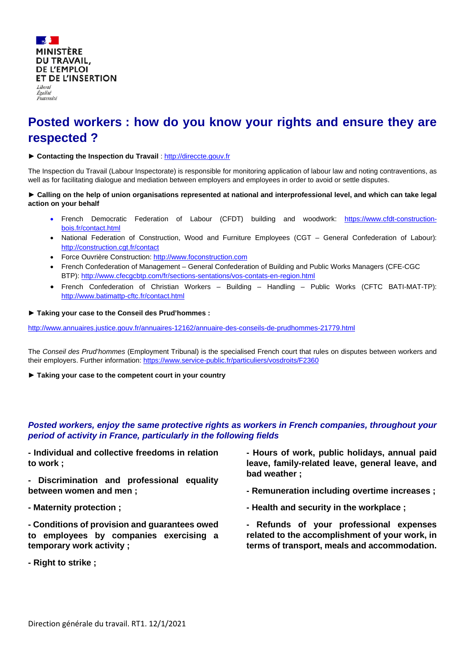

# **Posted workers : how do you know your rights and ensure they are respected ?**

## ▶ Contacting the Inspection du Travail [: http://direccte.gouv.fr](http://direccte.gouv.fr/)

The Inspection du Travail (Labour Inspectorate) is responsible for monitoring application of labour law and noting contraventions, as well as for facilitating dialogue and mediation between employers and employees in order to avoid or settle disputes.

## **► Calling on the help of union organisations represented at national and interprofessional level, and which can take legal action on your behalf**

- French Democratic Federation of Labour (CFDT) building and woodwork: [https://www.cfdt-construction](https://www.cfdt-construction-bois.fr/contact.html)[bois.fr/contact.html](https://www.cfdt-construction-bois.fr/contact.html)
- National Federation of Construction, Wood and Furniture Employees (CGT General Confederation of Labour): <http://construction.cgt.fr/contact>
- Force Ouvrière Construction[: http://www.foconstruction.com](http://www.foconstruction.com/)
- French Confederation of Management General Confederation of Building and Public Works Managers (CFE-CGC BTP):<http://www.cfecgcbtp.com/fr/sections-sentations/vos-contats-en-region.html>
- French Confederation of Christian Workers Building Handling Public Works (CFTC BATI-MAT-TP): <http://www.batimattp-cftc.fr/contact.html>

#### **► Taking your case to the Conseil des Prud'hommes :**

<http://www.annuaires.justice.gouv.fr/annuaires-12162/annuaire-des-conseils-de-prudhommes-21779.html>

The *Conseil des Prud'hommes* (Employment Tribunal) is the specialised French court that rules on disputes between workers and their employers. Further information[: https://www.service-public.fr/particuliers/vosdroits/F2360](https://www.service-public.fr/particuliers/vosdroits/F2360)

**► Taking your case to the competent court in your country**

## *Posted workers, enjoy the same protective rights as workers in French companies, throughout your period of activity in France, particularly in the following fields*

**- Individual and collective freedoms in relation to work ;**

**- Discrimination and professional equality between women and men ;**

**- Maternity protection ;**

**- Conditions of provision and guarantees owed to employees by companies exercising a temporary work activity ;**

**- Right to strike ;**

- **- Hours of work, public holidays, annual paid leave, family-related leave, general leave, and bad weather ;**
- **- Remuneration including overtime increases ;**
- **- Health and security in the workplace ;**

**- Refunds of your professional expenses related to the accomplishment of your work, in terms of transport, meals and accommodation.**